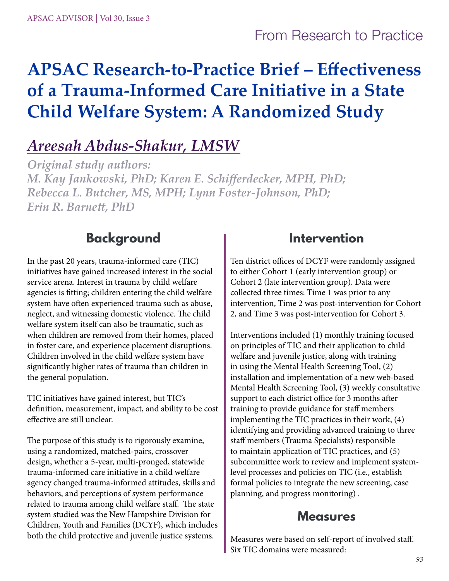# From Research to Practice

# **APSAC Research-to-Practice Brief – Effectiveness of a Trauma-Informed Care Initiative in a State Child Welfare System: A Randomized Study**

# *Areesah Abdus-Shakur, LMSW*

*Original study authors: M. Kay Jankowski, PhD; Karen E. Schifferdecker, MPH, PhD; Rebecca L. Butcher, MS, MPH; Lynn Foster-Johnson, PhD; Erin R. Barnett, PhD*

### **Background**

In the past 20 years, trauma-informed care (TIC) initiatives have gained increased interest in the social service arena. Interest in trauma by child welfare agencies is fitting; children entering the child welfare system have often experienced trauma such as abuse, neglect, and witnessing domestic violence. The child welfare system itself can also be traumatic, such as when children are removed from their homes, placed in foster care, and experience placement disruptions. Children involved in the child welfare system have significantly higher rates of trauma than children in the general population.

TIC initiatives have gained interest, but TIC's definition, measurement, impact, and ability to be cost effective are still unclear.

The purpose of this study is to rigorously examine, using a randomized, matched-pairs, crossover design, whether a 5-year, multi-pronged, statewide trauma-informed care initiative in a child welfare agency changed trauma-informed attitudes, skills and behaviors, and perceptions of system performance related to trauma among child welfare staff. The state system studied was the New Hampshire Division for Children, Youth and Families (DCYF), which includes both the child protective and juvenile justice systems.

### **Intervention**

Ten district offices of DCYF were randomly assigned to either Cohort 1 (early intervention group) or Cohort 2 (late intervention group). Data were collected three times: Time 1 was prior to any intervention, Time 2 was post-intervention for Cohort 2, and Time 3 was post-intervention for Cohort 3.

Interventions included (1) monthly training focused on principles of TIC and their application to child welfare and juvenile justice, along with training in using the Mental Health Screening Tool, (2) installation and implementation of a new web-based Mental Health Screening Tool, (3) weekly consultative support to each district office for 3 months after training to provide guidance for staff members implementing the TIC practices in their work, (4) identifying and providing advanced training to three staff members (Trauma Specialists) responsible to maintain application of TIC practices, and (5) subcommittee work to review and implement systemlevel processes and policies on TIC (i.e., establish formal policies to integrate the new screening, case planning, and progress monitoring) .

#### **Measures**

Measures were based on self-report of involved staff. Six TIC domains were measured: